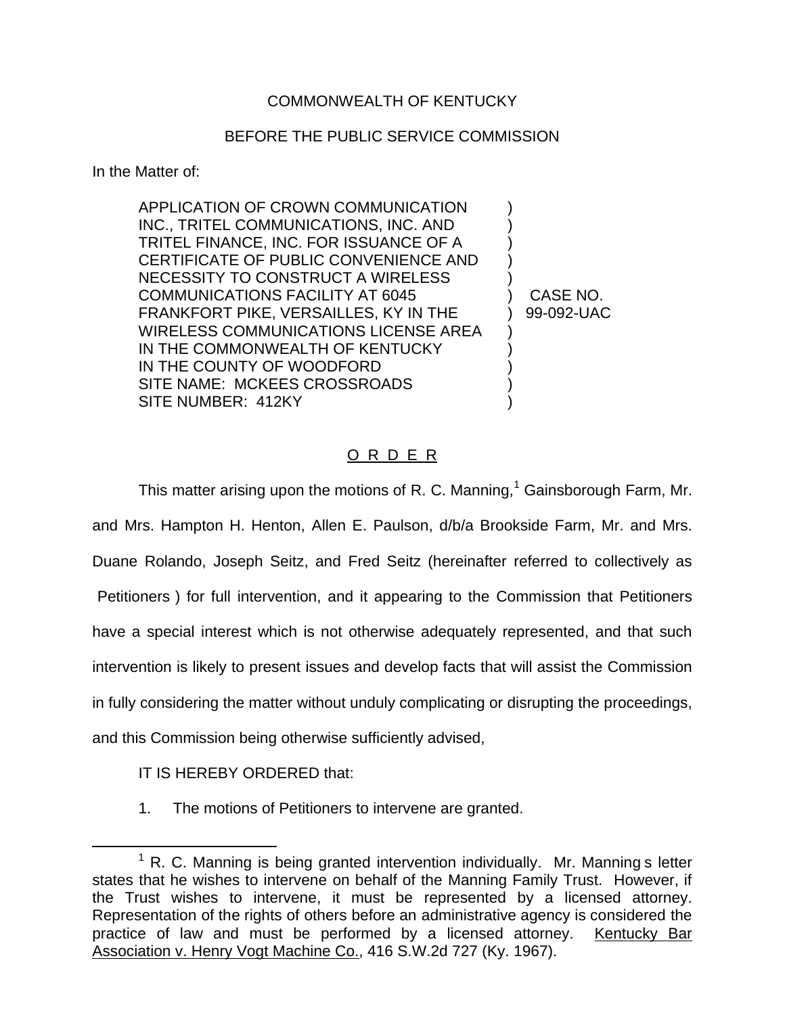## COMMONWEALTH OF KENTUCKY

## BEFORE THE PUBLIC SERVICE COMMISSION

In the Matter of:

APPLICATION OF CROWN COMMUNICATION ) INC., TRITEL COMMUNICATIONS, INC. AND ) TRITEL FINANCE, INC. FOR ISSUANCE OF A ) CERTIFICATE OF PUBLIC CONVENIENCE AND ) NECESSITY TO CONSTRUCT A WIRELESS ) COMMUNICATIONS FACILITY AT 6045 ) CASE NO. FRANKFORT PIKE, VERSAILLES, KY IN THE ) 99-092-UAC WIRELESS COMMUNICATIONS LICENSE AREA ) IN THE COMMONWEALTH OF KENTUCKY  $)$ IN THE COUNTY OF WOODFORD  $)$ SITE NAME: MCKEES CROSSROADS SITE NUMBER: 412KY

## O R D E R

This matter arising upon the motions of R. C. Manning,<sup>1</sup> Gainsborough Farm, Mr. and Mrs. Hampton H. Henton, Allen E. Paulson, d/b/a Brookside Farm, Mr. and Mrs. Duane Rolando, Joseph Seitz, and Fred Seitz (hereinafter referred to collectively as Petitioners ) for full intervention, and it appearing to the Commission that Petitioners have a special interest which is not otherwise adequately represented, and that such intervention is likely to present issues and develop facts that will assist the Commission in fully considering the matter without unduly complicating or disrupting the proceedings, and this Commission being otherwise sufficiently advised,

IT IS HEREBY ORDERED that:

1. The motions of Petitioners to intervene are granted.

 $1$  R. C. Manning is being granted intervention individually. Mr. Manning s letter states that he wishes to intervene on behalf of the Manning Family Trust. However, if the Trust wishes to intervene, it must be represented by a licensed attorney. Representation of the rights of others before an administrative agency is considered the practice of law and must be performed by a licensed attorney. Kentucky Bar Association v. Henry Vogt Machine Co., 416 S.W.2d 727 (Ky. 1967).